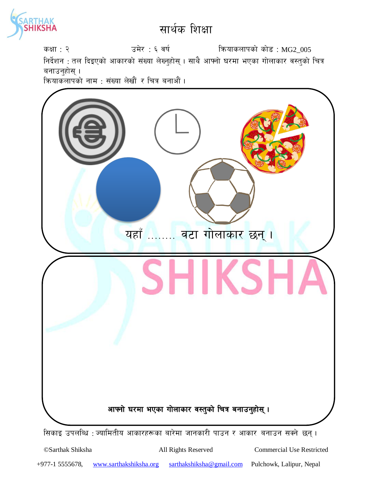

कक्षा : २  $\overline{3}$  : ६ वर्ष स्वित्रा करायकलापको कोड : MG2\_005 निर्देशन : तल दिइएको आकारको संख्या लेख्नुहोस् । साथै आफ्नो घरमा भएका गोलाकार वस्तुको चित्र बनाउनुहोस् $\,$ । कियाकलापको नाम : संख्या लेखौं र चित्र बनाऔं ।



©Sarthak Shiksha All Rights Reserved Commercial Use Restricted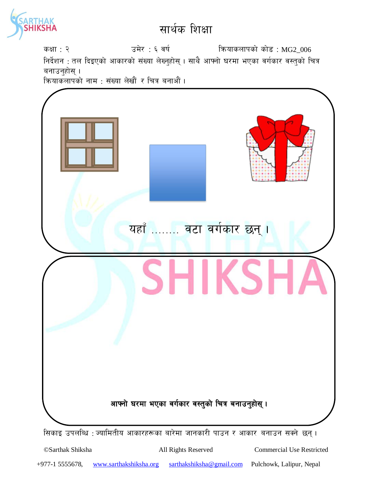

कक्षा : २  $\overline{3}$  : ६ वर्ष स्वित्र्याकलापको कोड : MG2\_006 निर्देशन : तल दिइएको आकारको संख्या लेख्नुहोस् । साथै आफ्नो घरमा भएका वर्गकार वस्तुको चित्र बनाउनुहोस् $\,$ । कियाकलापको नाम : संख्या लेखौं र चित्र बनाऔं । सिकाइ उपलब्धि : ज्यामितीय आकारहरूका बारेमा जानकारी पाउन र आकार बनाउन सक्ने छन्। यहाँ ........ वटा वर्गकार छन् । आफ्नो घरमा भएका वर्गकार वस्तुको चित्र बनाउनुहोस् ।

©Sarthak Shiksha All Rights Reserved Commercial Use Restricted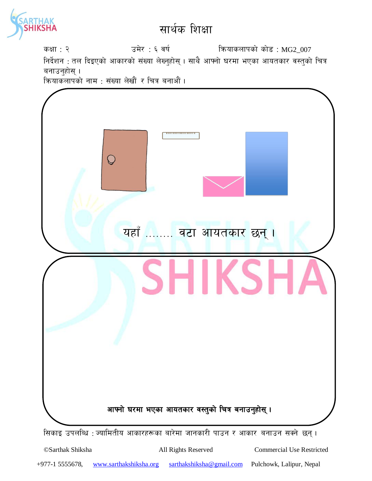

कक्षा : २  $\overline{3}$  : ६ वर्ष स्वित्र्या कियाकलापको कोड : MG2\_007 निर्देशन : तल दिइएको आकारको संख्या लेख्नुहोस् । साथै आफ्नो घरमा भएका आयतकार वस्तुको चित्र बनाउनुहोस् $\,$ । कियाकलापको नाम : संख्या लेखौं र चित्र बनाऔं ।



©Sarthak Shiksha All Rights Reserved Commercial Use Restricted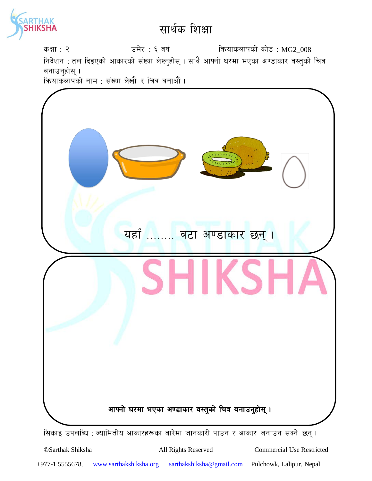

कक्षा : २  $\overline{3}$  : ६ वर्ष स्वित्र्याकलापको कोड : MG2\_008 निर्देशन : तल दिइएको आकारको संख्या लेख्नुहोस् । साथै आफ्नो घरमा भएका अण्डाकार वस्तुको चित्र बनाउनुहोस् $\,$ । कियाकलापको नाम : संख्या लेखौं र चित्र बनाऔं ।



सिकाइ उपलब्धि : ज्यामितीय आकारहरूका बारेमा जानकारी पाउन र आकार बनाउन सक्ने छन्।

©Sarthak Shiksha All Rights Reserved Commercial Use Restricted